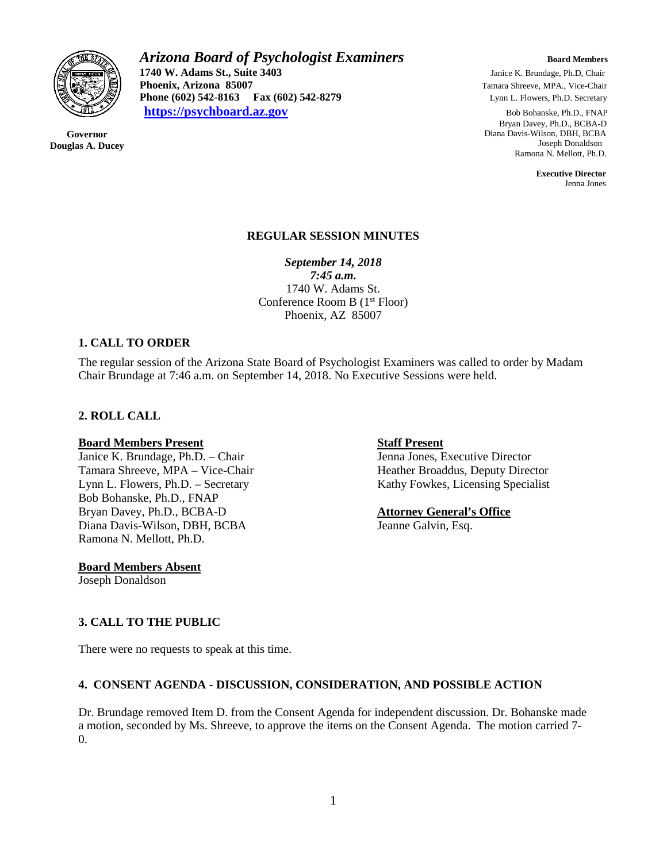

**Governor Douglas A. Ducey**

# *Arizona Board of Psychologist Examiners* **Board Members Board Members 1740 W. Adams St., Suite 3403** Janice K. Brundage, Ph.D, Chair<br> **211 Phoenix, Arizona 85007 Janice K. Brundage, Ph.D, Chair Phoenix, Arizona 85007 Phoenix, Arizona 85007 Phone (602) 542-8279 Phone (602) 542-8163 Fax (602) 542-8279 Lynn L. Flowers, Ph.D. Secretary [https://psychboard.az.gov](https://psychboard.az.gov/)** Bob Bohanske, Ph.D., FNAP

 Bryan Davey, Ph.D., BCBA-D Diana Davis-Wilson, DBH, BCBA Joseph Donaldson Ramona N. Mellott, Ph.D.

 **Executive Director** Jenna Jones

### **REGULAR SESSION MINUTES**

*September 14, 2018*

*7:45 a.m.* 1740 W. Adams St. Conference Room B (1st Floor) Phoenix, AZ 85007

### **1. CALL TO ORDER**

The regular session of the Arizona State Board of Psychologist Examiners was called to order by Madam Chair Brundage at 7:46 a.m. on September 14, 2018. No Executive Sessions were held.

## **2. ROLL CALL**

### **Board Members Present Staff Present Staff Present**

Janice K. Brundage, Ph.D. – Chair Jenna Jones, Executive Director Tamara Shreeve, MPA – Vice-Chair Heather Broaddus, Deputy Director Lynn L. Flowers, Ph.D. – Secretary Kathy Fowkes, Licensing Specialist Bob Bohanske, Ph.D., FNAP Bryan Davey, Ph.D., BCBA-D **Attorney General's Office** Diana Davis-Wilson, DBH, BCBA Jeanne Galvin, Esq. Ramona N. Mellott, Ph.D.

**Board Members Absent**

Joseph Donaldson

## **3. CALL TO THE PUBLIC**

There were no requests to speak at this time.

## **4. CONSENT AGENDA - DISCUSSION, CONSIDERATION, AND POSSIBLE ACTION**

Dr. Brundage removed Item D. from the Consent Agenda for independent discussion. Dr. Bohanske made a motion, seconded by Ms. Shreeve, to approve the items on the Consent Agenda. The motion carried 7- 0.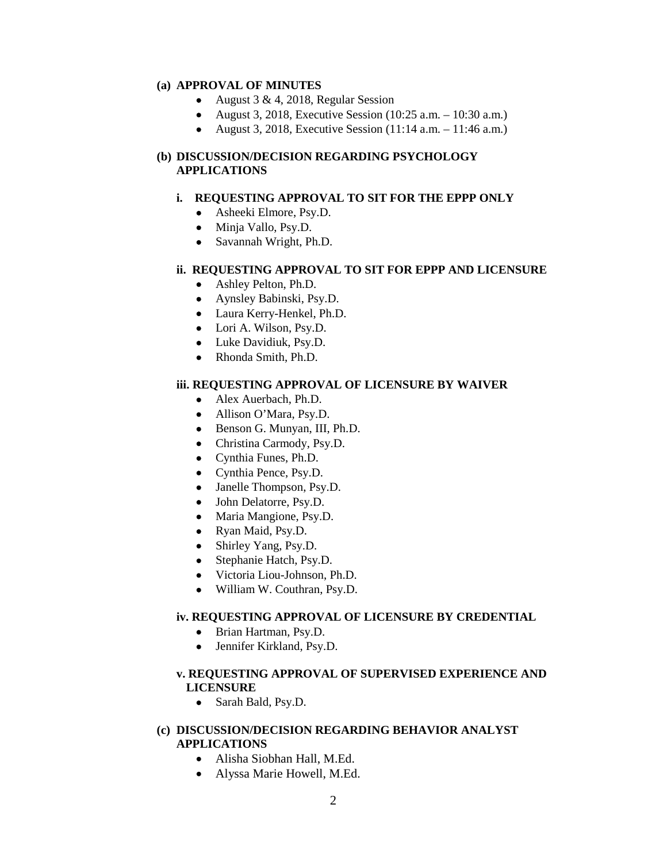#### **(a) APPROVAL OF MINUTES**

- August 3 & 4, 2018, Regular Session
- August 3, 2018, Executive Session (10:25 a.m. 10:30 a.m.)
- August 3, 2018, Executive Session  $(11:14 \text{ a.m.} 11:46 \text{ a.m.})$

### **(b) DISCUSSION/DECISION REGARDING PSYCHOLOGY APPLICATIONS**

#### **i. REQUESTING APPROVAL TO SIT FOR THE EPPP ONLY**

- Asheeki Elmore, Psy.D.
- Minja Vallo, Psy.D.
- Savannah Wright, Ph.D.

### **ii. REQUESTING APPROVAL TO SIT FOR EPPP AND LICENSURE**

- Ashley Pelton, Ph.D.
- Aynsley Babinski, Psy.D.
- Laura Kerry-Henkel, Ph.D.
- Lori A. Wilson, Psy.D.
- Luke Davidiuk, Psy.D.
- Rhonda Smith, Ph.D.

#### **iii. REQUESTING APPROVAL OF LICENSURE BY WAIVER**

- Alex Auerbach, Ph.D.
- Allison O'Mara, Psy.D.
- Benson G. Munyan, III, Ph.D.
- Christina Carmody, Psy.D.
- Cynthia Funes, Ph.D.
- Cynthia Pence, Psy.D.
- Janelle Thompson, Psy.D.
- John Delatorre, Psy.D.
- Maria Mangione, Psy.D.
- Ryan Maid, Psy.D.
- Shirley Yang, Psy.D.
- Stephanie Hatch, Psy.D.
- Victoria Liou-Johnson, Ph.D.
- William W. Couthran, Psy.D.

### **iv. REQUESTING APPROVAL OF LICENSURE BY CREDENTIAL**

- Brian Hartman, Psy.D.
- Jennifer Kirkland, Psy.D.

### **v. REQUESTING APPROVAL OF SUPERVISED EXPERIENCE AND LICENSURE**

• Sarah Bald, Psy.D.

### **(c) DISCUSSION/DECISION REGARDING BEHAVIOR ANALYST APPLICATIONS**

- Alisha Siobhan Hall, M.Ed.
- Alyssa Marie Howell, M.Ed.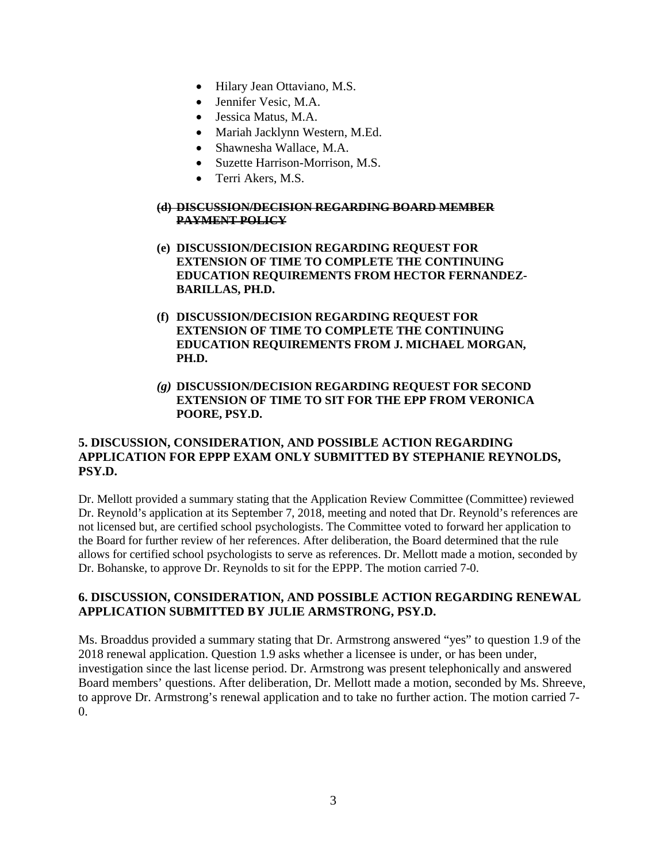- Hilary Jean Ottaviano, M.S.
- Jennifer Vesic, M.A.
- Jessica Matus, M.A.
- Mariah Jacklynn Western, M.Ed.
- Shawnesha Wallace, M.A.
- Suzette Harrison-Morrison, M.S.
- Terri Akers, M.S.

### **(d) DISCUSSION/DECISION REGARDING BOARD MEMBER PAYMENT POLICY**

- **(e) DISCUSSION/DECISION REGARDING REQUEST FOR EXTENSION OF TIME TO COMPLETE THE CONTINUING EDUCATION REQUIREMENTS FROM HECTOR FERNANDEZ-BARILLAS, PH.D.**
- **(f) DISCUSSION/DECISION REGARDING REQUEST FOR EXTENSION OF TIME TO COMPLETE THE CONTINUING EDUCATION REQUIREMENTS FROM J. MICHAEL MORGAN, PH.D.**
- *(g)* **DISCUSSION/DECISION REGARDING REQUEST FOR SECOND EXTENSION OF TIME TO SIT FOR THE EPP FROM VERONICA POORE, PSY.D.**

## **5. DISCUSSION, CONSIDERATION, AND POSSIBLE ACTION REGARDING APPLICATION FOR EPPP EXAM ONLY SUBMITTED BY STEPHANIE REYNOLDS, PSY.D.**

Dr. Mellott provided a summary stating that the Application Review Committee (Committee) reviewed Dr. Reynold's application at its September 7, 2018, meeting and noted that Dr. Reynold's references are not licensed but, are certified school psychologists. The Committee voted to forward her application to the Board for further review of her references. After deliberation, the Board determined that the rule allows for certified school psychologists to serve as references. Dr. Mellott made a motion, seconded by Dr. Bohanske, to approve Dr. Reynolds to sit for the EPPP. The motion carried 7-0.

## **6. DISCUSSION, CONSIDERATION, AND POSSIBLE ACTION REGARDING RENEWAL APPLICATION SUBMITTED BY JULIE ARMSTRONG, PSY.D.**

Ms. Broaddus provided a summary stating that Dr. Armstrong answered "yes" to question 1.9 of the 2018 renewal application. Question 1.9 asks whether a licensee is under, or has been under, investigation since the last license period. Dr. Armstrong was present telephonically and answered Board members' questions. After deliberation, Dr. Mellott made a motion, seconded by Ms. Shreeve, to approve Dr. Armstrong's renewal application and to take no further action. The motion carried 7- 0.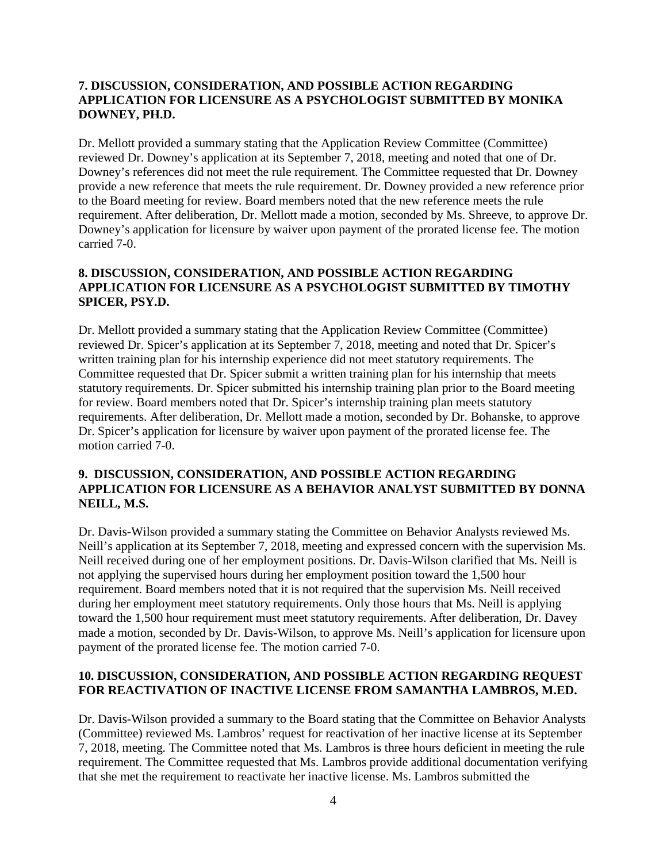## **7. DISCUSSION, CONSIDERATION, AND POSSIBLE ACTION REGARDING APPLICATION FOR LICENSURE AS A PSYCHOLOGIST SUBMITTED BY MONIKA DOWNEY, PH.D.**

Dr. Mellott provided a summary stating that the Application Review Committee (Committee) reviewed Dr. Downey's application at its September 7, 2018, meeting and noted that one of Dr. Downey's references did not meet the rule requirement. The Committee requested that Dr. Downey provide a new reference that meets the rule requirement. Dr. Downey provided a new reference prior to the Board meeting for review. Board members noted that the new reference meets the rule requirement. After deliberation, Dr. Mellott made a motion, seconded by Ms. Shreeve, to approve Dr. Downey's application for licensure by waiver upon payment of the prorated license fee. The motion carried 7-0.

## **8. DISCUSSION, CONSIDERATION, AND POSSIBLE ACTION REGARDING APPLICATION FOR LICENSURE AS A PSYCHOLOGIST SUBMITTED BY TIMOTHY SPICER, PSY.D.**

Dr. Mellott provided a summary stating that the Application Review Committee (Committee) reviewed Dr. Spicer's application at its September 7, 2018, meeting and noted that Dr. Spicer's written training plan for his internship experience did not meet statutory requirements. The Committee requested that Dr. Spicer submit a written training plan for his internship that meets statutory requirements. Dr. Spicer submitted his internship training plan prior to the Board meeting for review. Board members noted that Dr. Spicer's internship training plan meets statutory requirements. After deliberation, Dr. Mellott made a motion, seconded by Dr. Bohanske, to approve Dr. Spicer's application for licensure by waiver upon payment of the prorated license fee. The motion carried 7-0.

## **9. DISCUSSION, CONSIDERATION, AND POSSIBLE ACTION REGARDING APPLICATION FOR LICENSURE AS A BEHAVIOR ANALYST SUBMITTED BY DONNA NEILL, M.S.**

Dr. Davis-Wilson provided a summary stating the Committee on Behavior Analysts reviewed Ms. Neill's application at its September 7, 2018, meeting and expressed concern with the supervision Ms. Neill received during one of her employment positions. Dr. Davis-Wilson clarified that Ms. Neill is not applying the supervised hours during her employment position toward the 1,500 hour requirement. Board members noted that it is not required that the supervision Ms. Neill received during her employment meet statutory requirements. Only those hours that Ms. Neill is applying toward the 1,500 hour requirement must meet statutory requirements. After deliberation, Dr. Davey made a motion, seconded by Dr. Davis-Wilson, to approve Ms. Neill's application for licensure upon payment of the prorated license fee. The motion carried 7-0.

## **10. DISCUSSION, CONSIDERATION, AND POSSIBLE ACTION REGARDING REQUEST FOR REACTIVATION OF INACTIVE LICENSE FROM SAMANTHA LAMBROS, M.ED.**

Dr. Davis-Wilson provided a summary to the Board stating that the Committee on Behavior Analysts (Committee) reviewed Ms. Lambros' request for reactivation of her inactive license at its September 7, 2018, meeting. The Committee noted that Ms. Lambros is three hours deficient in meeting the rule requirement. The Committee requested that Ms. Lambros provide additional documentation verifying that she met the requirement to reactivate her inactive license. Ms. Lambros submitted the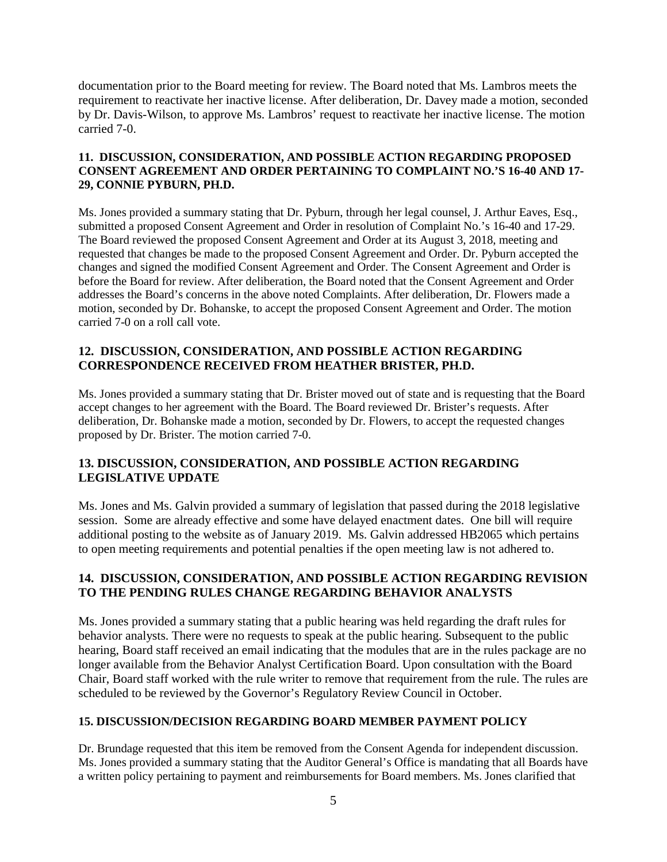documentation prior to the Board meeting for review. The Board noted that Ms. Lambros meets the requirement to reactivate her inactive license. After deliberation, Dr. Davey made a motion, seconded by Dr. Davis-Wilson, to approve Ms. Lambros' request to reactivate her inactive license. The motion carried 7-0.

## **11. DISCUSSION, CONSIDERATION, AND POSSIBLE ACTION REGARDING PROPOSED CONSENT AGREEMENT AND ORDER PERTAINING TO COMPLAINT NO.'S 16-40 AND 17- 29, CONNIE PYBURN, PH.D.**

Ms. Jones provided a summary stating that Dr. Pyburn, through her legal counsel, J. Arthur Eaves, Esq., submitted a proposed Consent Agreement and Order in resolution of Complaint No.'s 16-40 and 17-29. The Board reviewed the proposed Consent Agreement and Order at its August 3, 2018, meeting and requested that changes be made to the proposed Consent Agreement and Order. Dr. Pyburn accepted the changes and signed the modified Consent Agreement and Order. The Consent Agreement and Order is before the Board for review. After deliberation, the Board noted that the Consent Agreement and Order addresses the Board's concerns in the above noted Complaints. After deliberation, Dr. Flowers made a motion, seconded by Dr. Bohanske, to accept the proposed Consent Agreement and Order. The motion carried 7-0 on a roll call vote.

## **12. DISCUSSION, CONSIDERATION, AND POSSIBLE ACTION REGARDING CORRESPONDENCE RECEIVED FROM HEATHER BRISTER, PH.D.**

Ms. Jones provided a summary stating that Dr. Brister moved out of state and is requesting that the Board accept changes to her agreement with the Board. The Board reviewed Dr. Brister's requests. After deliberation, Dr. Bohanske made a motion, seconded by Dr. Flowers, to accept the requested changes proposed by Dr. Brister. The motion carried 7-0.

## **13. DISCUSSION, CONSIDERATION, AND POSSIBLE ACTION REGARDING LEGISLATIVE UPDATE**

Ms. Jones and Ms. Galvin provided a summary of legislation that passed during the 2018 legislative session. Some are already effective and some have delayed enactment dates. One bill will require additional posting to the website as of January 2019. Ms. Galvin addressed HB2065 which pertains to open meeting requirements and potential penalties if the open meeting law is not adhered to.

## **14. DISCUSSION, CONSIDERATION, AND POSSIBLE ACTION REGARDING REVISION TO THE PENDING RULES CHANGE REGARDING BEHAVIOR ANALYSTS**

Ms. Jones provided a summary stating that a public hearing was held regarding the draft rules for behavior analysts. There were no requests to speak at the public hearing. Subsequent to the public hearing, Board staff received an email indicating that the modules that are in the rules package are no longer available from the Behavior Analyst Certification Board. Upon consultation with the Board Chair, Board staff worked with the rule writer to remove that requirement from the rule. The rules are scheduled to be reviewed by the Governor's Regulatory Review Council in October.

## **15. DISCUSSION/DECISION REGARDING BOARD MEMBER PAYMENT POLICY**

Dr. Brundage requested that this item be removed from the Consent Agenda for independent discussion. Ms. Jones provided a summary stating that the Auditor General's Office is mandating that all Boards have a written policy pertaining to payment and reimbursements for Board members. Ms. Jones clarified that